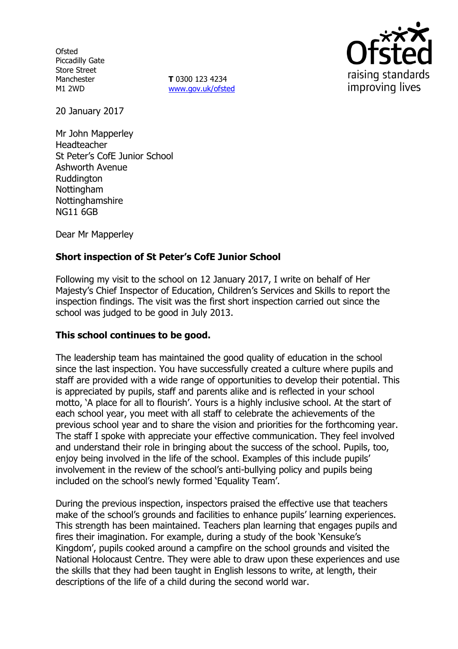**Ofsted** Piccadilly Gate Store Street Manchester M1 2WD

**T** 0300 123 4234 www.gov.uk/ofsted



20 January 2017

Mr John Mapperley Headteacher St Peter's CofE Junior School Ashworth Avenue **Ruddington** Nottingham Nottinghamshire NG11 6GB

Dear Mr Mapperley

# **Short inspection of St Peter's CofE Junior School**

Following my visit to the school on 12 January 2017, I write on behalf of Her Majesty's Chief Inspector of Education, Children's Services and Skills to report the inspection findings. The visit was the first short inspection carried out since the school was judged to be good in July 2013.

### **This school continues to be good.**

The leadership team has maintained the good quality of education in the school since the last inspection. You have successfully created a culture where pupils and staff are provided with a wide range of opportunities to develop their potential. This is appreciated by pupils, staff and parents alike and is reflected in your school motto, 'A place for all to flourish'. Yours is a highly inclusive school. At the start of each school year, you meet with all staff to celebrate the achievements of the previous school year and to share the vision and priorities for the forthcoming year. The staff I spoke with appreciate your effective communication. They feel involved and understand their role in bringing about the success of the school. Pupils, too, enjoy being involved in the life of the school. Examples of this include pupils' involvement in the review of the school's anti-bullying policy and pupils being included on the school's newly formed 'Equality Team'.

During the previous inspection, inspectors praised the effective use that teachers make of the school's grounds and facilities to enhance pupils' learning experiences. This strength has been maintained. Teachers plan learning that engages pupils and fires their imagination. For example, during a study of the book 'Kensuke's Kingdom', pupils cooked around a campfire on the school grounds and visited the National Holocaust Centre. They were able to draw upon these experiences and use the skills that they had been taught in English lessons to write, at length, their descriptions of the life of a child during the second world war.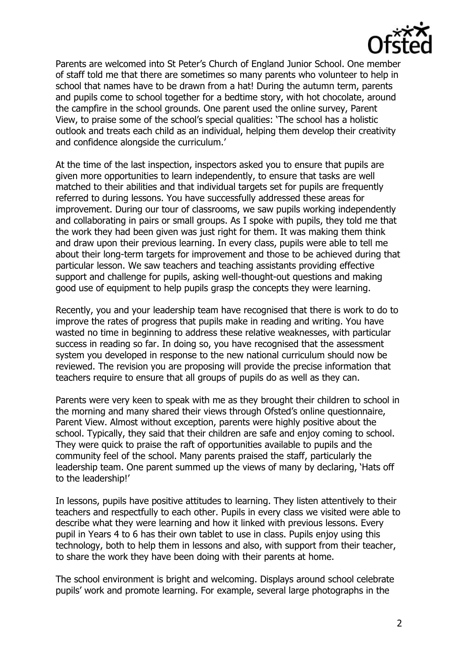

Parents are welcomed into St Peter's Church of England Junior School. One member of staff told me that there are sometimes so many parents who volunteer to help in school that names have to be drawn from a hat! During the autumn term, parents and pupils come to school together for a bedtime story, with hot chocolate, around the campfire in the school grounds. One parent used the online survey, Parent View, to praise some of the school's special qualities: 'The school has a holistic outlook and treats each child as an individual, helping them develop their creativity and confidence alongside the curriculum.'

At the time of the last inspection, inspectors asked you to ensure that pupils are given more opportunities to learn independently, to ensure that tasks are well matched to their abilities and that individual targets set for pupils are frequently referred to during lessons. You have successfully addressed these areas for improvement. During our tour of classrooms, we saw pupils working independently and collaborating in pairs or small groups. As I spoke with pupils, they told me that the work they had been given was just right for them. It was making them think and draw upon their previous learning. In every class, pupils were able to tell me about their long-term targets for improvement and those to be achieved during that particular lesson. We saw teachers and teaching assistants providing effective support and challenge for pupils, asking well-thought-out questions and making good use of equipment to help pupils grasp the concepts they were learning.

Recently, you and your leadership team have recognised that there is work to do to improve the rates of progress that pupils make in reading and writing. You have wasted no time in beginning to address these relative weaknesses, with particular success in reading so far. In doing so, you have recognised that the assessment system you developed in response to the new national curriculum should now be reviewed. The revision you are proposing will provide the precise information that teachers require to ensure that all groups of pupils do as well as they can.

Parents were very keen to speak with me as they brought their children to school in the morning and many shared their views through Ofsted's online questionnaire, Parent View. Almost without exception, parents were highly positive about the school. Typically, they said that their children are safe and enjoy coming to school. They were quick to praise the raft of opportunities available to pupils and the community feel of the school. Many parents praised the staff, particularly the leadership team. One parent summed up the views of many by declaring, 'Hats off to the leadership!'

In lessons, pupils have positive attitudes to learning. They listen attentively to their teachers and respectfully to each other. Pupils in every class we visited were able to describe what they were learning and how it linked with previous lessons. Every pupil in Years 4 to 6 has their own tablet to use in class. Pupils enjoy using this technology, both to help them in lessons and also, with support from their teacher, to share the work they have been doing with their parents at home.

The school environment is bright and welcoming. Displays around school celebrate pupils' work and promote learning. For example, several large photographs in the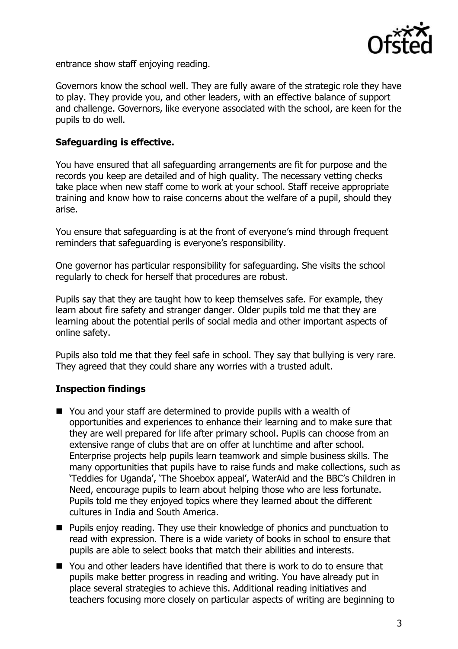

entrance show staff enjoying reading.

Governors know the school well. They are fully aware of the strategic role they have to play. They provide you, and other leaders, with an effective balance of support and challenge. Governors, like everyone associated with the school, are keen for the pupils to do well.

## **Safeguarding is effective.**

You have ensured that all safeguarding arrangements are fit for purpose and the records you keep are detailed and of high quality. The necessary vetting checks take place when new staff come to work at your school. Staff receive appropriate training and know how to raise concerns about the welfare of a pupil, should they arise.

You ensure that safeguarding is at the front of everyone's mind through frequent reminders that safeguarding is everyone's responsibility.

One governor has particular responsibility for safeguarding. She visits the school regularly to check for herself that procedures are robust.

Pupils say that they are taught how to keep themselves safe. For example, they learn about fire safety and stranger danger. Older pupils told me that they are learning about the potential perils of social media and other important aspects of online safety.

Pupils also told me that they feel safe in school. They say that bullying is very rare. They agreed that they could share any worries with a trusted adult.

# **Inspection findings**

- You and your staff are determined to provide pupils with a wealth of opportunities and experiences to enhance their learning and to make sure that they are well prepared for life after primary school. Pupils can choose from an extensive range of clubs that are on offer at lunchtime and after school. Enterprise projects help pupils learn teamwork and simple business skills. The many opportunities that pupils have to raise funds and make collections, such as 'Teddies for Uganda', 'The Shoebox appeal', WaterAid and the BBC's Children in Need, encourage pupils to learn about helping those who are less fortunate. Pupils told me they enjoyed topics where they learned about the different cultures in India and South America.
- **Pupils enjoy reading. They use their knowledge of phonics and punctuation to** read with expression. There is a wide variety of books in school to ensure that pupils are able to select books that match their abilities and interests.
- You and other leaders have identified that there is work to do to ensure that pupils make better progress in reading and writing. You have already put in place several strategies to achieve this. Additional reading initiatives and teachers focusing more closely on particular aspects of writing are beginning to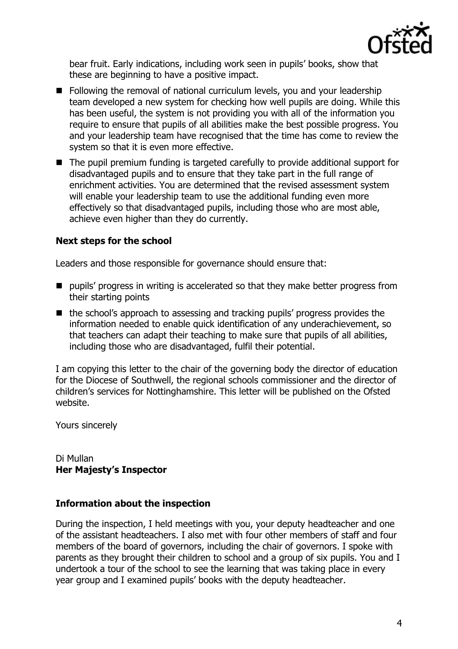

bear fruit. Early indications, including work seen in pupils' books, show that these are beginning to have a positive impact.

- Following the removal of national curriculum levels, you and your leadership team developed a new system for checking how well pupils are doing. While this has been useful, the system is not providing you with all of the information you require to ensure that pupils of all abilities make the best possible progress. You and your leadership team have recognised that the time has come to review the system so that it is even more effective.
- The pupil premium funding is targeted carefully to provide additional support for disadvantaged pupils and to ensure that they take part in the full range of enrichment activities. You are determined that the revised assessment system will enable your leadership team to use the additional funding even more effectively so that disadvantaged pupils, including those who are most able, achieve even higher than they do currently.

## **Next steps for the school**

Leaders and those responsible for governance should ensure that:

- $\blacksquare$  pupils' progress in writing is accelerated so that they make better progress from their starting points
- the school's approach to assessing and tracking pupils' progress provides the information needed to enable quick identification of any underachievement, so that teachers can adapt their teaching to make sure that pupils of all abilities, including those who are disadvantaged, fulfil their potential.

I am copying this letter to the chair of the governing body the director of education for the Diocese of Southwell, the regional schools commissioner and the director of children's services for Nottinghamshire. This letter will be published on the Ofsted website.

Yours sincerely

Di Mullan **Her Majesty's Inspector**

### **Information about the inspection**

During the inspection, I held meetings with you, your deputy headteacher and one of the assistant headteachers. I also met with four other members of staff and four members of the board of governors, including the chair of governors. I spoke with parents as they brought their children to school and a group of six pupils. You and I undertook a tour of the school to see the learning that was taking place in every year group and I examined pupils' books with the deputy headteacher.